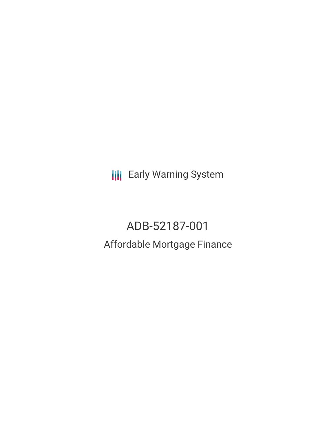**III** Early Warning System

# ADB-52187-001 Affordable Mortgage Finance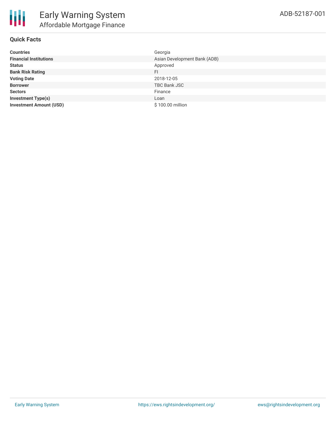

## **Quick Facts**

| <b>Countries</b>               | Georgia                      |
|--------------------------------|------------------------------|
| <b>Financial Institutions</b>  | Asian Development Bank (ADB) |
| <b>Status</b>                  | Approved                     |
| <b>Bank Risk Rating</b>        | FI                           |
| <b>Voting Date</b>             | 2018-12-05                   |
| <b>Borrower</b>                | <b>TBC Bank JSC</b>          |
| <b>Sectors</b>                 | Finance                      |
| <b>Investment Type(s)</b>      | Loan                         |
| <b>Investment Amount (USD)</b> | \$100.00 million             |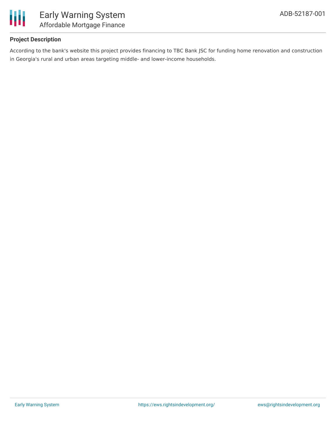

# **Project Description**

According to the bank's website this project provides financing to TBC Bank JSC for funding home renovation and construction in Georgia's rural and urban areas targeting middle- and lower-income households.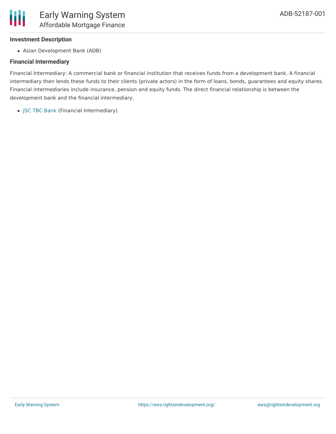

#### **Investment Description**

Asian Development Bank (ADB)

### **Financial Intermediary**

Financial Intermediary: A commercial bank or financial institution that receives funds from a development bank. A financial intermediary then lends these funds to their clients (private actors) in the form of loans, bonds, guarantees and equity shares. Financial intermediaries include insurance, pension and equity funds. The direct financial relationship is between the development bank and the financial intermediary.

JSC TBC [Bank](file:///actor/542/) (Financial Intermediary)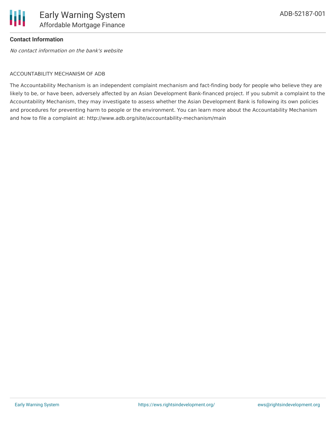

### **Contact Information**

No contact information on the bank's website

#### ACCOUNTABILITY MECHANISM OF ADB

The Accountability Mechanism is an independent complaint mechanism and fact-finding body for people who believe they are likely to be, or have been, adversely affected by an Asian Development Bank-financed project. If you submit a complaint to the Accountability Mechanism, they may investigate to assess whether the Asian Development Bank is following its own policies and procedures for preventing harm to people or the environment. You can learn more about the Accountability Mechanism and how to file a complaint at: http://www.adb.org/site/accountability-mechanism/main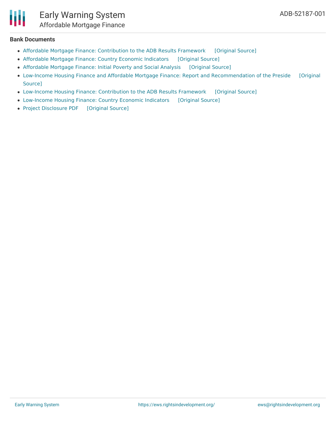

#### **Bank Documents**

- Affordable Mortgage Finance: [Contribution](https://ewsdata.rightsindevelopment.org/files/documents/01/ADB-52187-001_7jza20i.pdf) to the ADB Results Framework [\[Original](https://www.adb.org/projects/documents/geo-52187-002-52187-001-rrp) Source]
- [Affordable](https://ewsdata.rightsindevelopment.org/files/documents/01/ADB-52187-001_j0HyKMA.pdf) Mortgage Finance: Country Economic Indicators [\[Original](https://www.adb.org/projects/documents/geo-52187-002-52187-001-rrp) Source]
- [Affordable](https://ewsdata.rightsindevelopment.org/files/documents/01/ADB-52187-001_KumNdfZ.pdf) Mortgage Finance: Initial Poverty and Social Analysis [\[Original](https://www.adb.org/projects/documents/geo-52187-001-ipsa) Source]
- Low-Income Housing Finance and Affordable Mortgage Finance: Report and [Recommendation](https://www.adb.org/projects/documents/geo-52187-002-52187-001-rrp) of the Preside [Original Source]
- Low-Income Housing Finance: [Contribution](https://ewsdata.rightsindevelopment.org/files/documents/01/ADB-52187-001_mh5UZWB.pdf) to the ADB Results Framework [\[Original](https://www.adb.org/projects/documents/geo-52187-002-52187-001-rrp) Source]
- [Low-Income](https://ewsdata.rightsindevelopment.org/files/documents/01/ADB-52187-001_XfKdE0Q.pdf) Housing Finance: Country Economic Indicators [\[Original](https://www.adb.org/projects/documents/geo-52187-002-52187-001-rrp) Source]
- Project [Disclosure](https://ewsdata.rightsindevelopment.org/files/documents/01/ADB-52187-001.pdf) PDF [\[Original](https://www.adb.org/printpdf/projects/52187-001/main) Source]